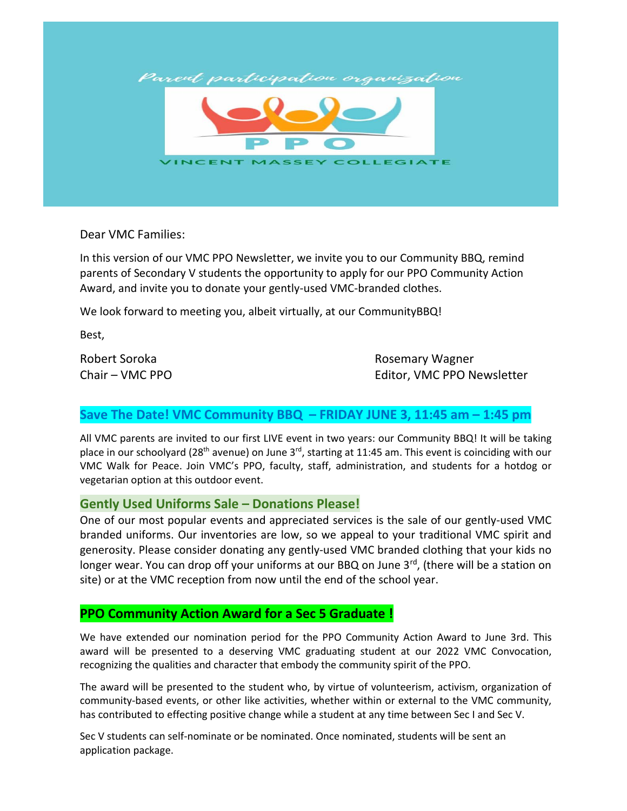

Dear VMC Families:

In this version of our VMC PPO Newsletter, we invite you to our Community BBQ, remind parents of Secondary V students the opportunity to apply for our PPO Community Action Award, and invite you to donate your gently-used VMC-branded clothes.

We look forward to meeting you, albeit virtually, at our CommunityBBQ!

Best,

Robert Soroka **Robert Soroka** Robert Soroka Robert Soroka Robert Robert Robert Robert Robert Robert Robert Robert Robert Robert Robert Robert Robert Robert Robert Robert Robert Robert Robert Robert Robert Robert Robert Rob Chair – VMC PPO **Editor, VMC PPO Newsletter** 

## **Save The Date! VMC Community BBQ – FRIDAY JUNE 3, 11:45 am – 1:45 pm**

All VMC parents are invited to our first LIVE event in two years: our Community BBQ! It will be taking place in our schoolyard (28<sup>th</sup> avenue) on June 3<sup>rd</sup>, starting at 11:45 am. This event is coinciding with our VMC Walk for Peace. Join VMC's PPO, faculty, staff, administration, and students for a hotdog or vegetarian option at this outdoor event.

## **Gently Used Uniforms Sale – Donations Please!**

One of our most popular events and appreciated services is the sale of our gently-used VMC branded uniforms. Our inventories are low, so we appeal to your traditional VMC spirit and generosity. Please consider donating any gently-used VMC branded clothing that your kids no longer wear. You can drop off your uniforms at our BBQ on June 3<sup>rd</sup>, (there will be a station on site) or at the VMC reception from now until the end of the school year.

## **PPO Community Action Award for a Sec 5 Graduate !**

We have extended our nomination period for the PPO Community Action Award to June 3rd. This award will be presented to a deserving VMC graduating student at our 2022 VMC Convocation, recognizing the qualities and character that embody the community spirit of the PPO.

The award will be presented to the student who, by virtue of volunteerism, activism, organization of community-based events, or other like activities, whether within or external to the VMC community, has contributed to effecting positive change while a student at any time between Sec I and Sec V.

Sec V students can self-nominate or be nominated. Once nominated, students will be sent an application package.